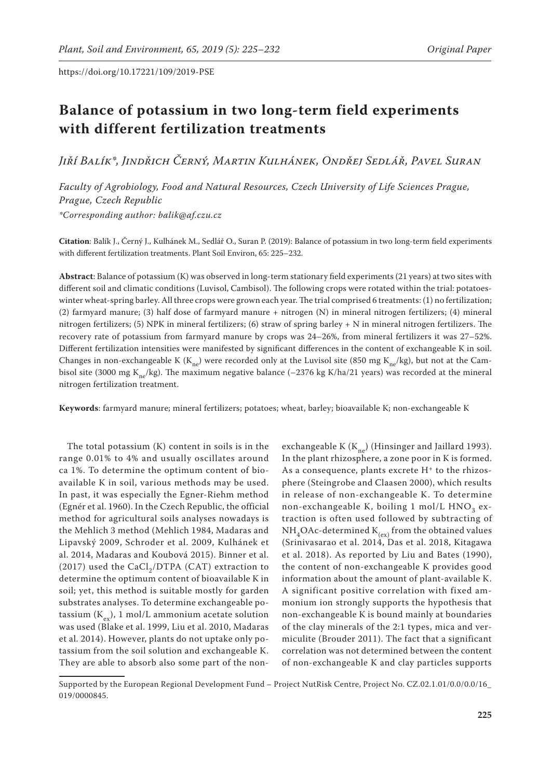# **Balance of potassium in two long-term field experiments with different fertilization treatments**

*Jiří Balík\*, Jindřich Černý, Martin Kulhánek, Ondřej Sedlář, Pavel Suran*

*Faculty of Agrobiology, Food and Natural Resources, Czech University of Life Sciences Prague, Prague, Czech Republic*

*\*Corresponding author: balik@af.czu.cz*

**Citation**: Balík J., Černý J., Kulhánek M., Sedlář O., Suran P. (2019): Balance of potassium in two long-term field experiments with different fertilization treatments. Plant Soil Environ, 65: 225–232.

**Abstract**: Balance of potassium (K) was observed in long-term stationary field experiments (21 years) at two sites with different soil and climatic conditions (Luvisol, Cambisol). The following crops were rotated within the trial: potatoeswinter wheat-spring barley. All three crops were grown each year. The trial comprised 6 treatments: (1) no fertilization; (2) farmyard manure; (3) half dose of farmyard manure + nitrogen (N) in mineral nitrogen fertilizers; (4) mineral nitrogen fertilizers; (5) NPK in mineral fertilizers; (6) straw of spring barley + N in mineral nitrogen fertilizers. The recovery rate of potassium from farmyard manure by crops was 24–26%, from mineral fertilizers it was 27–52%. Different fertilization intensities were manifested by significant differences in the content of exchangeable K in soil. Changes in non-exchangeable K (K<sub>no</sub>) were recorded only at the Luvisol site (850 mg K<sub>no</sub>/kg), but not at the Cambisol site (3000 mg K<sub>ne</sub>/kg). The maximum negative balance (-2376 kg K/ha/21 years) was recorded at the mineral nitrogen fertilization treatment.

**Keywords**: farmyard manure; mineral fertilizers; potatoes; wheat, barley; bioavailable K; non-exchangeable K

The total potassium (K) content in soils is in the range 0.01% to 4% and usually oscillates around ca 1%. To determine the optimum content of bioavailable K in soil, various methods may be used. In past, it was especially the Egner-Riehm method (Egnér et al. 1960). In the Czech Republic, the official method for agricultural soils analyses nowadays is the Mehlich 3 method (Mehlich 1984, Madaras and Lipavský 2009, Schroder et al. 2009, Kulhánek et al. 2014, Madaras and Koubová 2015). Binner et al. (2017) used the CaCl<sub>2</sub>/DTPA (CAT) extraction to determine the optimum content of bioavailable K in soil; yet, this method is suitable mostly for garden substrates analyses. To determine exchangeable potassium  $(K_{\alpha\nu})$ , 1 mol/L ammonium acetate solution was used (Blake et al. 1999, Liu et al. 2010, Madaras et al. 2014). However, plants do not uptake only potassium from the soil solution and exchangeable K. They are able to absorb also some part of the non-

exchangeable K ( $K_{ne}$ ) (Hinsinger and Jaillard 1993). In the plant rhizosphere, a zone poor in K is formed. As a consequence, plants excrete  $H<sup>+</sup>$  to the rhizosphere (Steingrobe and Claasen 2000), which results in release of non-exchangeable K. To determine non-exchangeable K, boiling 1 mol/L  $HNO<sub>3</sub>$  extraction is often used followed by subtracting of  $NH<sub>4</sub>OAc-determined K<sub>(ex)</sub> from the obtained values$ (Srinivasarao et al. 2014, Das et al. 2018, Kitagawa et al. 2018). As reported by Liu and Bates (1990), the content of non-exchangeable K provides good information about the amount of plant-available K. A significant positive correlation with fixed ammonium ion strongly supports the hypothesis that non-exchangeable K is bound mainly at boundaries of the clay minerals of the 2:1 types, mica and vermiculite (Brouder 2011). The fact that a significant correlation was not determined between the content of non-exchangeable K and clay particles supports

Supported by the European Regional Development Fund – Project NutRisk Centre, Project No. CZ.02.1.01/0.0/0.0/16\_ 019/0000845.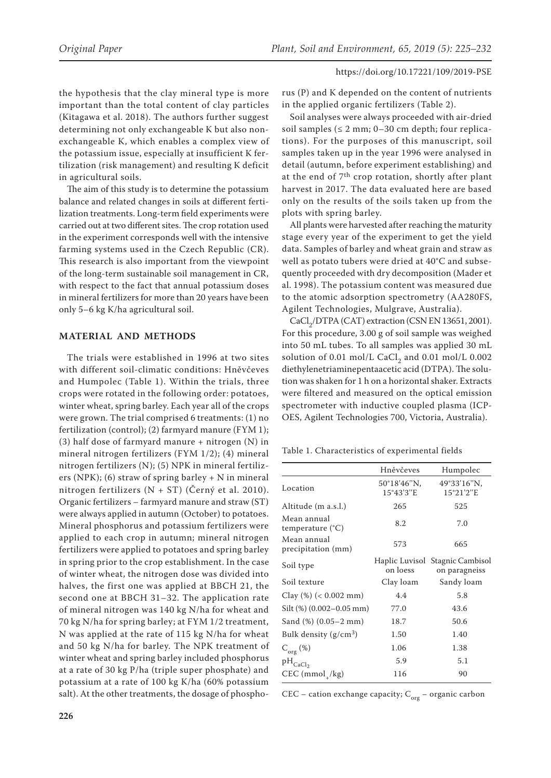the hypothesis that the clay mineral type is more important than the total content of clay particles (Kitagawa et al. 2018). The authors further suggest determining not only exchangeable K but also nonexchangeable K, which enables a complex view of the potassium issue, especially at insufficient K fertilization (risk management) and resulting K deficit in agricultural soils.

The aim of this study is to determine the potassium balance and related changes in soils at different fertilization treatments. Long-term field experiments were carried out at two different sites. The crop rotation used in the experiment corresponds well with the intensive farming systems used in the Czech Republic (CR). This research is also important from the viewpoint of the long-term sustainable soil management in CR, with respect to the fact that annual potassium doses in mineral fertilizers for more than 20 years have been only 5–6 kg K/ha agricultural soil.

## **MATERIAL AND METHODS**

The trials were established in 1996 at two sites with different soil-climatic conditions: Hněvčeves and Humpolec (Table 1). Within the trials, three crops were rotated in the following order: potatoes, winter wheat, spring barley. Each year all of the crops were grown. The trial comprised 6 treatments: (1) no fertilization (control); (2) farmyard manure (FYM 1); (3) half dose of farmyard manure  $+$  nitrogen (N) in mineral nitrogen fertilizers (FYM 1/2); (4) mineral nitrogen fertilizers (N); (5) NPK in mineral fertilizers (NPK); (6) straw of spring barley + N in mineral nitrogen fertilizers (N + ST) (Černý et al. 2010). Organic fertilizers – farmyard manure and straw (ST) were always applied in autumn (October) to potatoes. Mineral phosphorus and potassium fertilizers were applied to each crop in autumn; mineral nitrogen fertilizers were applied to potatoes and spring barley in spring prior to the crop establishment. In the case of winter wheat, the nitrogen dose was divided into halves, the first one was applied at BBCH 21, the second one at BBCH 31–32. The application rate of mineral nitrogen was 140 kg N/ha for wheat and 70 kg N/ha for spring barley; at FYM 1/2 treatment, N was applied at the rate of 115 kg N/ha for wheat and 50 kg N/ha for barley. The NPK treatment of winter wheat and spring barley included phosphorus at a rate of 30 kg P/ha (triple super phosphate) and potassium at a rate of 100 kg K/ha (60% potassium salt). At the other treatments, the dosage of phospho-

rus (P) and K depended on the content of nutrients in the applied organic fertilizers (Table 2).

Soil analyses were always proceeded with air-dried soil samples ( $\leq 2$  mm; 0–30 cm depth; four replications). For the purposes of this manuscript, soil samples taken up in the year 1996 were analysed in detail (autumn, before experiment establishing) and at the end of 7th crop rotation, shortly after plant harvest in 2017. The data evaluated here are based only on the results of the soils taken up from the plots with spring barley.

All plants were harvested after reaching the maturity stage every year of the experiment to get the yield data. Samples of barley and wheat grain and straw as well as potato tubers were dried at 40°C and subsequently proceeded with dry decomposition (Mader et al. 1998). The potassium content was measured due to the atomic adsorption spectrometry (AA280FS, Agilent Technologies, Mulgrave, Australia).

 $\text{CaCl}_2/\text{DTPA}$  (CAT) extraction (CSN EN 13651, 2001). For this procedure, 3.00 g of soil sample was weighed into 50 mL tubes. To all samples was applied 30 mL solution of 0.01 mol/L CaCl<sub>2</sub> and 0.01 mol/L 0.002 diethylenetriaminepentaacetic acid (DTPA). The solution was shaken for 1 h on a horizontal shaker. Extracts were filtered and measured on the optical emission spectrometer with inductive coupled plasma (ICP-OES, Agilent Technologies 700, Victoria, Australia).

Table 1. Characteristics of experimental fields

|                                          | Hněvčeves                          | Humpolec                                         |
|------------------------------------------|------------------------------------|--------------------------------------------------|
| Location                                 | 50°18′46″N,<br>$15^{\circ}43'3''E$ | 49°33'16"N,<br>15°21'2"E                         |
| Altitude (m a.s.l.)                      | 265                                | 525                                              |
| Mean annual<br>temperature $(^{\circ}C)$ | 8.2                                | 7.0                                              |
| Mean annual<br>precipitation (mm)        | 573                                | 665                                              |
| Soil type                                | on loess                           | Haplic Luvisol Stagnic Cambisol<br>on paragneiss |
| Soil texture                             | Clay loam                          | Sandy loam                                       |
| Clay $(\%)$ (< 0.002 mm)                 | 4.4                                | 5.8                                              |
| Silt $(\%)$ (0.002-0.05 mm)              | 77.0                               | 43.6                                             |
| Sand $(\%)$ $(0.05-2 \text{ mm})$        | 18.7                               | 50.6                                             |
| Bulk density $(g/cm^3)$                  | 1.50                               | 1.40                                             |
| $C_{org}(\%)$                            | 1.06                               | 1.38                                             |
| $pH_{CaCl2}$                             | 5.9                                | 5.1                                              |
| $CEC (mmol+/kg)$                         | 116                                | 90                                               |

CEC – cation exchange capacity;  $C_{\text{org}}$  – organic carbon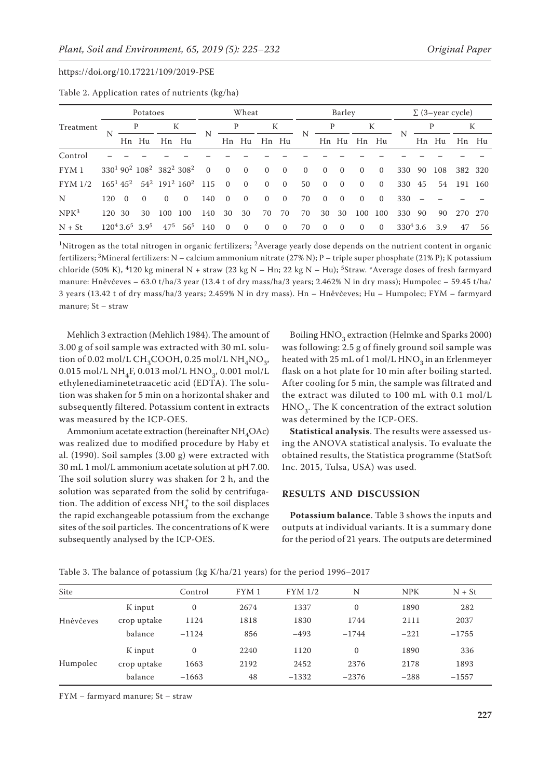|                  |     | Potatoes                |                                                                                     |          | Wheat                                        |                |                | Barley         |                |                | $\Sigma$ (3–year cycle) |          |          |          |          |             |    |       |     |         |
|------------------|-----|-------------------------|-------------------------------------------------------------------------------------|----------|----------------------------------------------|----------------|----------------|----------------|----------------|----------------|-------------------------|----------|----------|----------|----------|-------------|----|-------|-----|---------|
| Treatment        | N   |                         |                                                                                     | К        |                                              |                |                |                | K              |                |                         | P        |          | К        |          |             | P  |       | К   |         |
|                  |     |                         | Hn Hu                                                                               | Hn       | Hu                                           |                |                | Hn Hu          |                | Hn Hu          | N                       |          | Hn Hu    | Hn       | Hu       | N           |    | Hn Hu | Hn  | Hu      |
| Control          |     |                         |                                                                                     |          |                                              |                |                |                |                |                |                         |          |          |          |          |             |    |       |     |         |
| FYM1             |     |                         | 330 <sup>1</sup> 90 <sup>2</sup> 108 <sup>2</sup> 382 <sup>2</sup> 308 <sup>2</sup> |          |                                              | $\overline{0}$ | $\Omega$       | $\overline{0}$ | $\Omega$       | $\Omega$       | $\Omega$                | $\Omega$ | $\Omega$ | $\Omega$ | $\Omega$ | 330         | 90 | 108   |     | 382 320 |
| FYM 1/2          |     | $165^1$ 45 <sup>2</sup> |                                                                                     |          | $54^2$ 191 <sup>2</sup> 160 <sup>2</sup> 115 |                | $\overline{0}$ | $\overline{0}$ | $\Omega$       | $\overline{0}$ | 50                      | $\Omega$ | $\Omega$ | $\Omega$ | $\Omega$ | 330         | 45 | 54    | 191 | 160     |
| N                | 120 | $\Omega$                | $\Omega$                                                                            | $\Omega$ | $\Omega$                                     | 140            | $\Omega$       | $\overline{0}$ | $\overline{0}$ | $\overline{0}$ | 70                      | $\Omega$ | $\Omega$ | $\Omega$ | $\Omega$ | 330         |    |       |     |         |
| NPK <sup>3</sup> | 120 | 30                      | 30                                                                                  | 100      | 100                                          | 140            | 30             | 30             | 70             | 70             | 70                      | 30       | 30       | 100      | 100      | 330         | 90 | 90    | 270 | 270     |
| $N + St$         |     |                         | $120^43.6^5$ 3.9 <sup>5</sup>                                                       | $47^{5}$ | 56 <sup>5</sup>                              | 140            | $\Omega$       | $\Omega$       | $\Omega$       | $\mathbf{0}$   | 70                      | $\Omega$ | $\Omega$ | $\Omega$ | $\Omega$ | $330^4$ 3.6 |    | 3.9   | 47  | 56      |

Table 2. Application rates of nutrients (kg/ha)

<sup>1</sup>Nitrogen as the total nitrogen in organic fertilizers; <sup>2</sup>Average yearly dose depends on the nutrient content in organic fertilizers; 3Mineral fertilizers: N – calcium ammonium nitrate (27% N); P – triple super phosphate (21% P); K potassium chloride (50% K), <sup>4</sup>120 kg mineral N + straw (23 kg N – Hn; 22 kg N – Hu); <sup>5</sup>Straw. \*Average doses of fresh farmyard manure: Hněvčeves – 63.0 t/ha/3 year (13.4 t of dry mass/ha/3 years; 2.462% N in dry mass); Humpolec – 59.45 t/ha/ 3 years (13.42 t of dry mass/ha/3 years; 2.459% N in dry mass). Hn – Hněvčeves; Hu – Humpolec; FYM – farmyard manure; St – straw

Mehlich 3 extraction (Mehlich 1984). The amount of 3.00 g of soil sample was extracted with 30 mL solution of 0.02 mol/L CH<sub>2</sub>COOH, 0.25 mol/L NH<sub>4</sub>NO<sub>2</sub>, 0.015 mol/L NH<sub>4</sub>F, 0.013 mol/L HNO<sub>3</sub>, 0.001 mol/L ethylenediaminetetraacetic acid (EDTA). The solution was shaken for 5 min on a horizontal shaker and subsequently filtered. Potassium content in extracts was measured by the ICP-OES.

Ammonium acetate extraction (hereinafter  $NH_{4}OAC$ ) was realized due to modified procedure by Haby et al. (1990). Soil samples (3.00 g) were extracted with 30 mL 1 mol/L ammonium acetate solution at pH 7.00. The soil solution slurry was shaken for 2 h, and the solution was separated from the solid by centrifugation. The addition of excess  $\mathrm{NH}_4^+$  to the soil displaces the rapid exchangeable potassium from the exchange sites of the soil particles. The concentrations of K were subsequently analysed by the ICP-OES.

Boiling HNO<sub>3</sub> extraction (Helmke and Sparks 2000) was following: 2.5 g of finely ground soil sample was heated with  $25$  mL of 1 mol/L HNO<sub>2</sub> in an Erlenmeyer flask on a hot plate for 10 min after boiling started. After cooling for 5 min, the sample was filtrated and the extract was diluted to 100 mL with 0.1 mol/L  $HNO<sub>3</sub>$ . The K concentration of the extract solution was determined by the ICP-OES.

**Statistical analysis**. The results were assessed using the ANOVA statistical analysis. To evaluate the obtained results, the Statistica programme (StatSoft Inc. 2015, Tulsa, USA) was used.

# **RESULTS AND DISCUSSION**

**Potassium balance**. Table 3 shows the inputs and outputs at individual variants. It is a summary done for the period of 21 years. The outputs are determined

| Site      |             | Control      | FYM <sub>1</sub> | FYM 1/2 | N        | <b>NPK</b> | $N + St$ |
|-----------|-------------|--------------|------------------|---------|----------|------------|----------|
|           | K input     | $\mathbf{0}$ | 2674             | 1337    | $\Omega$ | 1890       | 282      |
| Hněvčeves | crop uptake | 1124         | 1818             | 1830    | 1744     | 2111       | 2037     |
|           | balance     | $-1124$      | 856              | $-493$  | $-1744$  | $-221$     | $-1755$  |
|           | K input     | $\Omega$     | 2240             | 1120    | $\Omega$ | 1890       | 336      |
| Humpolec  | crop uptake | 1663         | 2192             | 2452    | 2376     | 2178       | 1893     |
|           | balance     | $-1663$      | 48               | $-1332$ | $-2376$  | $-288$     | $-1557$  |
|           |             |              |                  |         |          |            |          |

Table 3. The balance of potassium (kg K/ha/21 years) for the period 1996–2017

FYM – farmyard manure; St – straw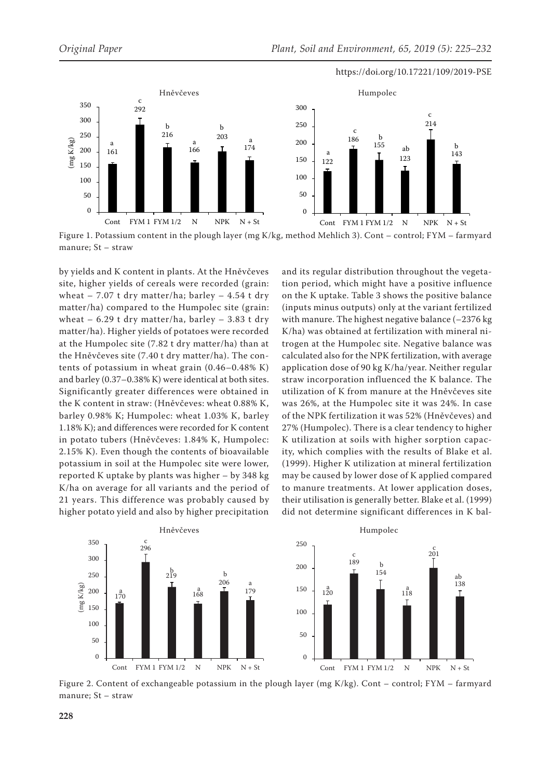

Figure 1. Potassium content in the plough layer (mg K/kg, method Mehlich 3). Cont – control; FYM – farmyard manure; St – straw

by yields and K content in plants. At the Hněvčeves site, higher yields of cereals were recorded (grain: wheat  $-7.07$  t dry matter/ha; barley  $-4.54$  t dry matter/ha) compared to the Humpolec site (grain: wheat  $-6.29$  t dry matter/ha, barley  $-3.83$  t dry matter/ha). Higher yields of potatoes were recorded at the Humpolec site (7.82 t dry matter/ha) than at the Hněvčeves site (7.40 t dry matter/ha). The contents of potassium in wheat grain (0.46–0.48% K) and barley (0.37–0.38% K) were identical at both sites. Significantly greater differences were obtained in the K content in straw: (Hněvčeves: wheat 0.88% K, barley 0.98% K; Humpolec: wheat 1.03% K, barley 1.18% K); and differences were recorded for K content in potato tubers (Hněvčeves: 1.84% K, Humpolec: 2.15% K). Even though the contents of bioavailable potassium in soil at the Humpolec site were lower, reported K uptake by plants was higher – by 348 kg K/ha on average for all variants and the period of 21 years. This difference was probably caused by higher potato yield and also by higher precipitation

and its regular distribution throughout the vegetation period, which might have a positive influence on the K uptake. Table 3 shows the positive balance (inputs minus outputs) only at the variant fertilized with manure. The highest negative balance (–2376 kg K/ha) was obtained at fertilization with mineral nitrogen at the Humpolec site. Negative balance was calculated also for the NPK fertilization, with average application dose of 90 kg K/ha/year. Neither regular straw incorporation influenced the K balance. The utilization of K from manure at the Hněvčeves site was 26%, at the Humpolec site it was 24%. In case of the NPK fertilization it was 52% (Hněvčeves) and 27% (Humpolec). There is a clear tendency to higher K utilization at soils with higher sorption capacity, which complies with the results of Blake et al. (1999). Higher K utilization at mineral fertilization may be caused by lower dose of K applied compared to manure treatments. At lower application doses, their utilisation is generally better. Blake et al. (1999) did not determine significant differences in K bal-



Figure 2. Content of exchangeable potassium in the plough layer (mg K/kg). Cont – control; FYM – farmyard manure; St – straw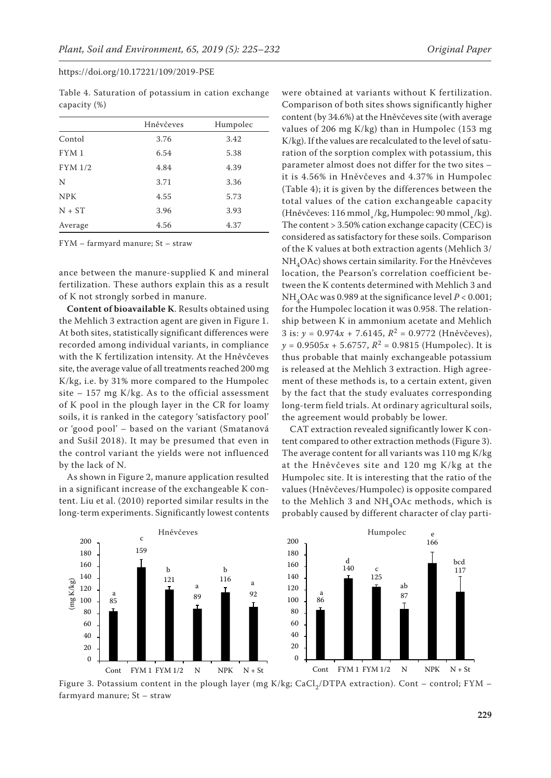|            | Hněvčeves | Humpolec |
|------------|-----------|----------|
| Contol     | 3.76      | 3.42     |
| FYM1       | 6.54      | 5.38     |
| FYM 1/2    | 4.84      | 4.39     |
| N          | 3.71      | 3.36     |
| <b>NPK</b> | 4.55      | 5.73     |
| $N + ST$   | 3.96      | 3.93     |
|            |           |          |

Average 4.56 4.37

Table 4. Saturation of potassium in cation exchange capacity (%)

FYM – farmyard manure; St – straw

ance between the manure-supplied K and mineral fertilization. These authors explain this as a result of K not strongly sorbed in manure.

**Content of bioavailable K**. Results obtained using the Mehlich 3 extraction agent are given in Figure 1. At both sites, statistically significant differences were recorded among individual variants, in compliance with the K fertilization intensity. At the Hněvčeves site, the average value of all treatments reached 200 mg K/kg, i.e. by 31% more compared to the Humpolec site  $-157$  mg K/kg. As to the official assessment of K pool in the plough layer in the CR for loamy soils, it is ranked in the category 'satisfactory pool' or 'good pool' – based on the variant (Smatanová and Sušil 2018). It may be presumed that even in the control variant the yields were not influenced by the lack of N.

As shown in Figure 2, manure application resulted in a significant increase of the exchangeable K content. Liu et al. (2010) reported similar results in the long-term experiments. Significantly lowest contents

were obtained at variants without K fertilization. Comparison of both sites shows significantly higher content (by 34.6%) at the Hněvčeves site (with average values of 206 mg K/kg) than in Humpolec (153 mg K/kg). If the values are recalculated to the level of saturation of the sorption complex with potassium, this parameter almost does not differ for the two sites – it is 4.56% in Hněvčeves and 4.37% in Humpolec (Table 4); it is given by the differences between the total values of the cation exchangeable capacity (Hněvčeves: 116 mmol /kg, Humpolec: 90 mmol /kg). The content > 3.50% cation exchange capacity (CEC) is considered as satisfactory for these soils. Comparison of the K values at both extraction agents (Mehlich 3/ NH4OAc) shows certain similarity. For the Hněvčeves location, the Pearson's correlation coefficient between the K contents determined with Mehlich 3 and NH4OAc was 0.989 at the significance level *P* < 0.001; for the Humpolec location it was 0.958. The relationship between K in ammonium acetate and Mehlich 3 is: *y* = 0.974*x* + 7.6145, *R*2 = 0.9772 (Hněvčeves),  $y = 0.9505x + 5.6757$ ,  $R^2 = 0.9815$  (Humpolec). It is thus probable that mainly exchangeable potassium is released at the Mehlich 3 extraction. High agreement of these methods is, to a certain extent, given by the fact that the study evaluates corresponding long-term field trials. At ordinary agricultural soils, the agreement would probably be lower.

CAT extraction revealed significantly lower K content compared to other extraction methods (Figure 3). The average content for all variants was 110 mg K/kg at the Hněvčeves site and 120 mg K/kg at the Humpolec site. It is interesting that the ratio of the values (Hněvčeves/Humpolec) is opposite compared to the Mehlich 3 and  $NH<sub>4</sub>OAc$  methods, which is probably caused by different character of clay parti-



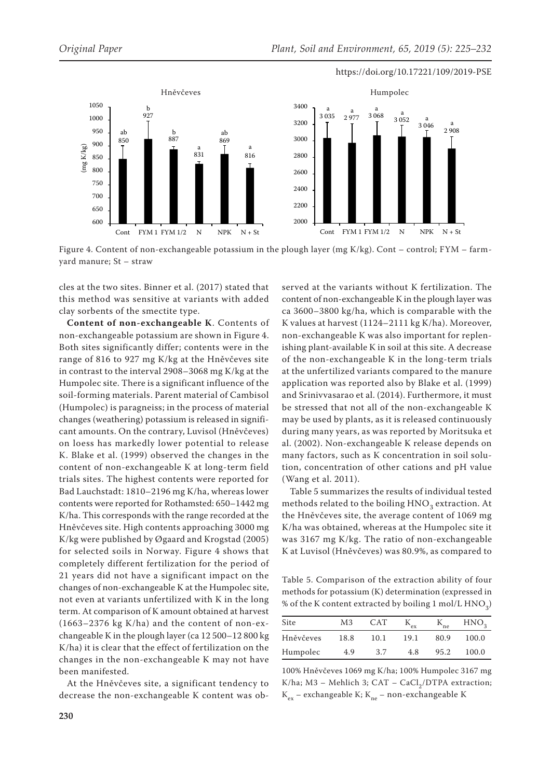

Figure 4. Content of non-exchangeable potassium in the plough layer (mg K/kg). Cont – control; FYM – farmyard manure; St – straw

cles at the two sites. Binner et al. (2017) stated that this method was sensitive at variants with added clay sorbents of the smectite type.

**Content of non-exchangeable K**. Contents of non-exchangeable potassium are shown in Figure 4. Both sites significantly differ; contents were in the range of 816 to 927 mg K/kg at the Hněvčeves site in contrast to the interval 2908–3068 mg K/kg at the Humpolec site. There is a significant influence of the soil-forming materials. Parent material of Cambisol (Humpolec) is paragneiss; in the process of material changes (weathering) potassium is released in significant amounts. On the contrary, Luvisol (Hněvčeves) on loess has markedly lower potential to release K. Blake et al. (1999) observed the changes in the content of non-exchangeable K at long-term field trials sites. The highest contents were reported for Bad Lauchstadt: 1810–2196 mg K/ha, whereas lower contents were reported for Rothamsted: 650–1442 mg K/ha. This corresponds with the range recorded at the Hněvčeves site. High contents approaching 3000 mg K/kg were published by Øgaard and Krogstad (2005) for selected soils in Norway. Figure 4 shows that completely different fertilization for the period of 21 years did not have a significant impact on the changes of non-exchangeable K at the Humpolec site, not even at variants unfertilized with K in the long term. At comparison of K amount obtained at harvest (1663–2376 kg K/ha) and the content of non-exchangeable K in the plough layer (ca 12 500–12 800 kg K/ha) it is clear that the effect of fertilization on the changes in the non-exchangeable K may not have been manifested.

At the Hněvčeves site, a significant tendency to decrease the non-exchangeable K content was ob-

served at the variants without K fertilization. The content of non-exchangeable K in the plough layer was ca 3600–3800 kg/ha, which is comparable with the K values at harvest (1124–2111 kg K/ha). Moreover, non-exchangeable K was also important for replenishing plant-available K in soil at this site. A decrease of the non-exchangeable K in the long-term trials at the unfertilized variants compared to the manure application was reported also by Blake et al. (1999) and Srinivvasarao et al. (2014). Furthermore, it must be stressed that not all of the non-exchangeable K may be used by plants, as it is released continuously during many years, as was reported by Moritsuka et al. (2002). Non-exchangeable K release depends on many factors, such as K concentration in soil solution, concentration of other cations and pH value (Wang et al. 2011).

Table 5 summarizes the results of individual tested methods related to the boiling  $HNO<sub>3</sub>$  extraction. At the Hněvčeves site, the average content of 1069 mg K/ha was obtained, whereas at the Humpolec site it was 3167 mg K/kg. The ratio of non-exchangeable K at Luvisol (Hněvčeves) was 80.9%, as compared to

Table 5. Comparison of the extraction ability of four methods for potassium (K) determination (expressed in % of the K content extracted by boiling  $1 \text{ mol/L HNO}_3$ 

| Site      | M3   | <b>CAT</b> | ex   | $K_{ne}$ | HNO <sub>2</sub> |
|-----------|------|------------|------|----------|------------------|
| Hněvčeves | 18.8 | 10.1       | 19.1 | 80.9     | 100.0            |
| Humpolec  | 4.9  | 3.7        | 4.8  | 95.2     | 100.0            |

100% Hněvčeves 1069 mg K/ha; 100% Humpolec 3167 mg K/ha; M3 – Mehlich 3; CAT – CaCl<sub>2</sub>/DTPA extraction;  $K_{ex}$  – exchangeable K;  $K_{ne}$  – non-exchangeable K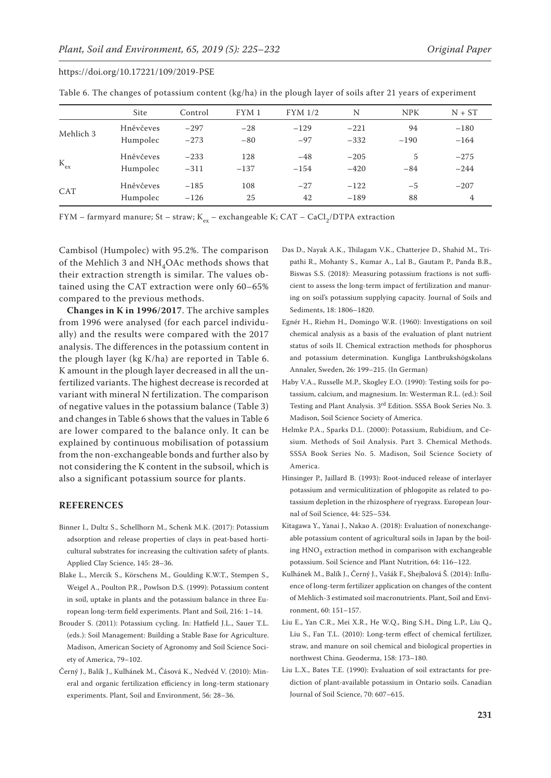| Table 6. The changes of potassium content (kg/ha) in the plough layer of soils after 21 years of experiment |  |  |
|-------------------------------------------------------------------------------------------------------------|--|--|
|-------------------------------------------------------------------------------------------------------------|--|--|

|              | Site      | Control | FYM1   | FYM 1/2 | N      | <b>NPK</b> | $N + ST$ |
|--------------|-----------|---------|--------|---------|--------|------------|----------|
| Mehlich 3    | Hněvčeves | $-297$  | $-28$  | $-129$  | $-221$ | 94         | $-180$   |
|              | Humpolec  | $-273$  | $-80$  | $-97$   | $-332$ | $-190$     | $-164$   |
| $\rm K_{ex}$ | Hněvčeves | $-233$  | 128    | $-48$   | $-205$ | 5          | $-275$   |
|              | Humpolec  | $-311$  | $-137$ | $-154$  | $-420$ | $-84$      | $-244$   |
| CAT          | Hněvčeves | $-185$  | 108    | $-27$   | $-122$ | $-5$       | $-207$   |
|              | Humpolec  | $-126$  | 25     | 42      | $-189$ | 88         | 4        |

FYM – farmyard manure; St – straw; K<sub>ex</sub> – exchangeable K; CAT – CaCl<sub>2</sub>/DTPA extraction

Cambisol (Humpolec) with 95.2%. The comparison of the Mehlich 3 and  $NH<sub>4</sub>OAc$  methods shows that their extraction strength is similar. The values obtained using the CAT extraction were only 60–65% compared to the previous methods.

**Changes in K in 1996/2017**. The archive samples from 1996 were analysed (for each parcel individually) and the results were compared with the 2017 analysis. The differences in the potassium content in the plough layer (kg K/ha) are reported in Table 6. K amount in the plough layer decreased in all the unfertilized variants. The highest decrease is recorded at variant with mineral N fertilization. The comparison of negative values in the potassium balance (Table 3) and changes in Table 6 shows that the values in Table 6 are lower compared to the balance only. It can be explained by continuous mobilisation of potassium from the non-exchangeable bonds and further also by not considering the K content in the subsoil, which is also a significant potassium source for plants.

## **REFERENCES**

- Binner I., Dultz S., Schellhorn M., Schenk M.K. (2017): Potassium adsorption and release properties of clays in peat-based horticultural substrates for increasing the cultivation safety of plants. Applied Clay Science, 145: 28–36.
- Blake L., Mercik S., Körschens M., Goulding K.W.T., Stempen S., Weigel A., Poulton P.R., Powlson D.S. (1999): Potassium content in soil, uptake in plants and the potassium balance in three European long-term field experiments. Plant and Soil, 216: 1–14.
- Brouder S. (2011): Potassium cycling. In: Hatfield J.L., Sauer T.L. (eds.): Soil Management: Building a Stable Base for Agriculture. Madison, American Society of Agronomy and Soil Science Society of America, 79–102.
- Černý J., Balík J., Kulhánek M., Čásová K., Nedvěd V. (2010): Mineral and organic fertilization efficiency in long-term stationary experiments. Plant, Soil and Environment, 56: 28–36.
- Das D., Nayak A.K., Thilagam V.K., Chatterjee D., Shahid M., Tripathi R., Mohanty S., Kumar A., Lal B., Gautam P., Panda B.B., Biswas S.S. (2018): Measuring potassium fractions is not sufficient to assess the long-term impact of fertilization and manuring on soil's potassium supplying capacity. Journal of Soils and Sediments, 18: 1806–1820.
- Egnér H., Riehm H., Domingo W.R. (1960): Investigations on soil chemical analysis as a basis of the evaluation of plant nutrient status of soils II. Chemical extraction methods for phosphorus and potassium determination. Kungliga Lantbrukshögskolans Annaler, Sweden, 26: 199–215. (In German)
- Haby V.A., Russelle M.P., Skogley E.O. (1990): Testing soils for potassium, calcium, and magnesium. In: Westerman R.L. (ed.): Soil Testing and Plant Analysis. 3rd Edition. SSSA Book Series No. 3. Madison, Soil Science Society of America.
- Helmke P.A., Sparks D.L. (2000): Potassium, Rubidium, and Cesium. Methods of Soil Analysis. Part 3. Chemical Methods. SSSA Book Series No. 5. Madison, Soil Science Society of America.
- Hinsinger P., Jaillard B. (1993): Root-induced release of interlayer potassium and vermiculitization of phlogopite as related to potassium depletion in the rhizosphere of ryegrass. European Journal of Soil Science, 44: 525–534.
- Kitagawa Y., Yanai J., Nakao A. (2018): Evaluation of nonexchangeable potassium content of agricultural soils in Japan by the boiling HNO<sub>3</sub> extraction method in comparison with exchangeable potassium. Soil Science and Plant Nutrition, 64: 116–122.
- Kulhánek M., Balík J., Černý J., Vašák F., Shejbalová Š. (2014): Influence of long-term fertilizer application on changes of the content of Mehlich-3 estimated soil macronutrients. Plant, Soil and Environment, 60: 151–157.
- Liu E., Yan C.R., Mei X.R., He W.Q., Bing S.H., Ding L.P., Liu Q., Liu S., Fan T.L. (2010): Long-term effect of chemical fertilizer, straw, and manure on soil chemical and biological properties in northwest China. Geoderma, 158: 173–180.
- Liu L.X., Bates T.E. (1990): Evaluation of soil extractants for prediction of plant-available potassium in Ontario soils. Canadian Journal of Soil Science, 70: 607–615.